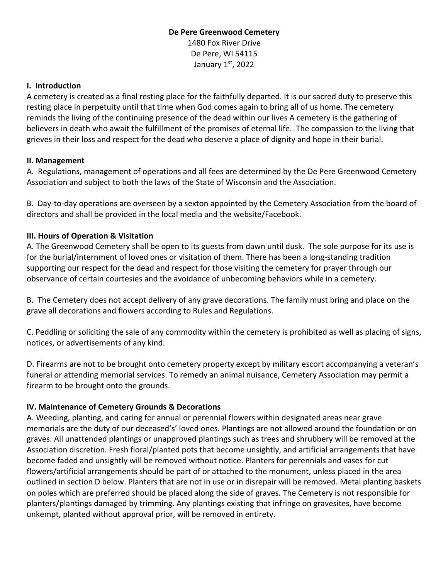## **De Pere Greenwood Cemetery** 1480 Fox River Drive De Pere, WI 54115 January  $1<sup>st</sup>$ , 2022

#### **I. Introduction**

A cemetery is created as a final resting place for the faithfully departed. It is our sacred duty to preserve this resting place in perpetuity until that time when God comes again to bring all of us home. The cemetery reminds the living of the continuing presence of the dead within our lives A cemetery is the gathering of believers in death who await the fulfillment of the promises of eternal life. The compassion to the living that grieves in their loss and respect for the dead who deserve a place of dignity and hope in their burial.

#### **II. Management**

A. Regulations, management of operations and all fees are determined by the De Pere Greenwood Cemetery Association and subject to both the laws of the State of Wisconsin and the Association.

B. Day-to-day operations are overseen by a sexton appointed by the Cemetery Association from the board of directors and shall be provided in the local media and the website/Facebook.

### **III. Hours of Operation & Visitation**

A. The Greenwood Cemetery shall be open to its guests from dawn until dusk. The sole purpose for its use is for the burial/internment of loved ones or visitation of them. There has been a long-standing tradition supporting our respect for the dead and respect for those visiting the cemetery for prayer through our observance of certain courtesies and the avoidance of unbecoming behaviors while in a cemetery.

B. The Cemetery does not accept delivery of any grave decorations. The family must bring and place on the grave all decorations and flowers according to Rules and Regulations.

C. Peddling or soliciting the sale of any commodity within the cemetery is prohibited as well as placing of signs, notices, or advertisements of any kind.

D. Firearms are not to be brought onto cemetery property except by military escort accompanying a veteran's funeral or attending memorial services. To remedy an animal nuisance, Cemetery Association may permit a firearm to be brought onto the grounds.

### **IV. Maintenance of Cemetery Grounds & Decorations**

A. Weeding, planting, and caring for annual or perennial flowers within designated areas near grave memorials are the duty of our deceased's' loved ones. Plantings are not allowed around the foundation or on graves. All unattended plantings or unapproved plantings such as trees and shrubbery will be removed at the Association discretion. Fresh floral/planted pots that become unsightly, and artificial arrangements that have become faded and unsightly will be removed without notice. Planters for perennials and vases for cut flowers/artificial arrangements should be part of or attached to the monument, unless placed in the area outlined in section D below. Planters that are not in use or in disrepair will be removed. Metal planting baskets on poles which are preferred should be placed along the side of graves. The Cemetery is not responsible for planters/plantings damaged by trimming. Any plantings existing that infringe on gravesites, have become unkempt, planted without approval prior, will be removed in entirety.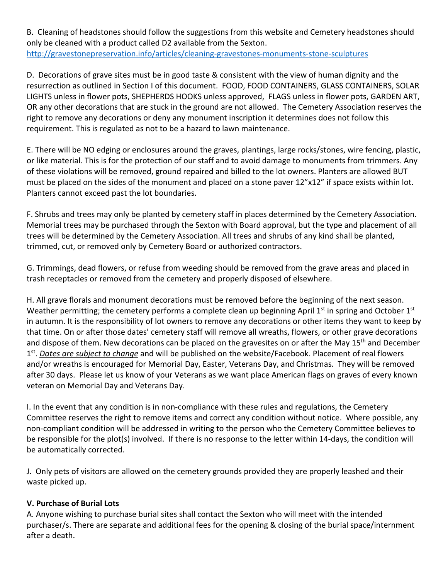B. Cleaning of headstones should follow the suggestions from this website and Cemetery headstones should only be cleaned with a product called D2 available from the Sexton. http://gravestonepreservation.info/articles/cleaning-gravestones-monuments-stone-sculptures

D. Decorations of grave sites must be in good taste & consistent with the view of human dignity and the resurrection as outlined in Section I of this document. FOOD, FOOD CONTAINERS, GLASS CONTAINERS, SOLAR LIGHTS unless in flower pots, SHEPHERDS HOOKS unless approved, FLAGS unless in flower pots, GARDEN ART, OR any other decorations that are stuck in the ground are not allowed. The Cemetery Association reserves the right to remove any decorations or deny any monument inscription it determines does not follow this requirement. This is regulated as not to be a hazard to lawn maintenance.

E. There will be NO edging or enclosures around the graves, plantings, large rocks/stones, wire fencing, plastic, or like material. This is for the protection of our staff and to avoid damage to monuments from trimmers. Any of these violations will be removed, ground repaired and billed to the lot owners. Planters are allowed BUT must be placed on the sides of the monument and placed on a stone paver 12"x12" if space exists within lot. Planters cannot exceed past the lot boundaries.

F. Shrubs and trees may only be planted by cemetery staff in places determined by the Cemetery Association. Memorial trees may be purchased through the Sexton with Board approval, but the type and placement of all trees will be determined by the Cemetery Association. All trees and shrubs of any kind shall be planted, trimmed, cut, or removed only by Cemetery Board or authorized contractors.

G. Trimmings, dead flowers, or refuse from weeding should be removed from the grave areas and placed in trash receptacles or removed from the cemetery and properly disposed of elsewhere.

H. All grave florals and monument decorations must be removed before the beginning of the next season. Weather permitting; the cemetery performs a complete clean up beginning April  $1<sup>st</sup>$  in spring and October  $1<sup>st</sup>$ in autumn. It is the responsibility of lot owners to remove any decorations or other items they want to keep by that time. On or after those dates' cemetery staff will remove all wreaths, flowers, or other grave decorations and dispose of them. New decorations can be placed on the gravesites on or after the May 15<sup>th</sup> and December 1st. *Dates are subject to change* and will be published on the website/Facebook. Placement of real flowers and/or wreaths is encouraged for Memorial Day, Easter, Veterans Day, and Christmas. They will be removed after 30 days. Please let us know of your Veterans as we want place American flags on graves of every known veteran on Memorial Day and Veterans Day.

I. In the event that any condition is in non-compliance with these rules and regulations, the Cemetery Committee reserves the right to remove items and correct any condition without notice. Where possible, any non-compliant condition will be addressed in writing to the person who the Cemetery Committee believes to be responsible for the plot(s) involved. If there is no response to the letter within 14-days, the condition will be automatically corrected.

J. Only pets of visitors are allowed on the cemetery grounds provided they are properly leashed and their waste picked up.

# **V. Purchase of Burial Lots**

A. Anyone wishing to purchase burial sites shall contact the Sexton who will meet with the intended purchaser/s. There are separate and additional fees for the opening & closing of the burial space/internment after a death.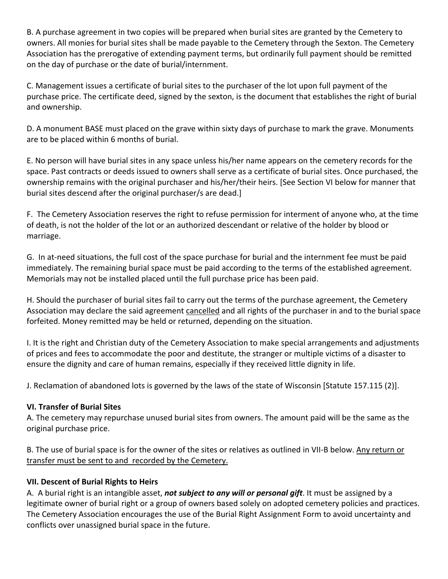B. A purchase agreement in two copies will be prepared when burial sites are granted by the Cemetery to owners. All monies for burial sites shall be made payable to the Cemetery through the Sexton. The Cemetery Association has the prerogative of extending payment terms, but ordinarily full payment should be remitted on the day of purchase or the date of burial/internment.

C. Management issues a certificate of burial sites to the purchaser of the lot upon full payment of the purchase price. The certificate deed, signed by the sexton, is the document that establishes the right of burial and ownership.

D. A monument BASE must placed on the grave within sixty days of purchase to mark the grave. Monuments are to be placed within 6 months of burial.

E. No person will have burial sites in any space unless his/her name appears on the cemetery records for the space. Past contracts or deeds issued to owners shall serve as a certificate of burial sites. Once purchased, the ownership remains with the original purchaser and his/her/their heirs. [See Section VI below for manner that burial sites descend after the original purchaser/s are dead.]

F. The Cemetery Association reserves the right to refuse permission for interment of anyone who, at the time of death, is not the holder of the lot or an authorized descendant or relative of the holder by blood or marriage.

G. In at-need situations, the full cost of the space purchase for burial and the internment fee must be paid immediately. The remaining burial space must be paid according to the terms of the established agreement. Memorials may not be installed placed until the full purchase price has been paid.

H. Should the purchaser of burial sites fail to carry out the terms of the purchase agreement, the Cemetery Association may declare the said agreement cancelled and all rights of the purchaser in and to the burial space forfeited. Money remitted may be held or returned, depending on the situation.

I. It is the right and Christian duty of the Cemetery Association to make special arrangements and adjustments of prices and fees to accommodate the poor and destitute, the stranger or multiple victims of a disaster to ensure the dignity and care of human remains, especially if they received little dignity in life.

J. Reclamation of abandoned lots is governed by the laws of the state of Wisconsin [Statute 157.115 (2)].

# **VI. Transfer of Burial Sites**

A. The cemetery may repurchase unused burial sites from owners. The amount paid will be the same as the original purchase price.

B. The use of burial space is for the owner of the sites or relatives as outlined in VII-B below. Any return or transfer must be sent to and recorded by the Cemetery.

### **VII. Descent of Burial Rights to Heirs**

A. A burial right is an intangible asset, *not subject to any will or personal gift*. It must be assigned by a legitimate owner of burial right or a group of owners based solely on adopted cemetery policies and practices. The Cemetery Association encourages the use of the Burial Right Assignment Form to avoid uncertainty and conflicts over unassigned burial space in the future.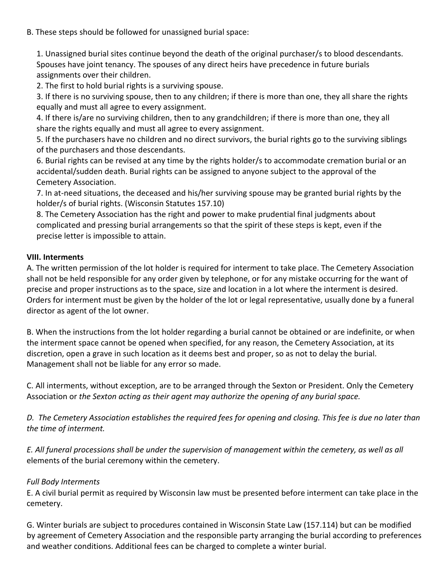B. These steps should be followed for unassigned burial space:

1. Unassigned burial sites continue beyond the death of the original purchaser/s to blood descendants. Spouses have joint tenancy. The spouses of any direct heirs have precedence in future burials assignments over their children.

2. The first to hold burial rights is a surviving spouse.

3. If there is no surviving spouse, then to any children; if there is more than one, they all share the rights equally and must all agree to every assignment.

4. If there is/are no surviving children, then to any grandchildren; if there is more than one, they all share the rights equally and must all agree to every assignment.

5. If the purchasers have no children and no direct survivors, the burial rights go to the surviving siblings of the purchasers and those descendants.

6. Burial rights can be revised at any time by the rights holder/s to accommodate cremation burial or an accidental/sudden death. Burial rights can be assigned to anyone subject to the approval of the Cemetery Association.

7. In at-need situations, the deceased and his/her surviving spouse may be granted burial rights by the holder/s of burial rights. (Wisconsin Statutes 157.10)

8. The Cemetery Association has the right and power to make prudential final judgments about complicated and pressing burial arrangements so that the spirit of these steps is kept, even if the precise letter is impossible to attain.

#### **VIII. Interments**

A. The written permission of the lot holder is required for interment to take place. The Cemetery Association shall not be held responsible for any order given by telephone, or for any mistake occurring for the want of precise and proper instructions as to the space, size and location in a lot where the interment is desired. Orders for interment must be given by the holder of the lot or legal representative, usually done by a funeral director as agent of the lot owner.

B. When the instructions from the lot holder regarding a burial cannot be obtained or are indefinite, or when the interment space cannot be opened when specified, for any reason, the Cemetery Association, at its discretion, open a grave in such location as it deems best and proper, so as not to delay the burial. Management shall not be liable for any error so made.

C. All interments, without exception, are to be arranged through the Sexton or President. Only the Cemetery Association or *the Sexton acting as their agent may authorize the opening of any burial space.* 

*D. The Cemetery Association establishes the required fees for opening and closing. This fee is due no later than the time of interment.*

*E. All funeral processions shall be under the supervision of management within the cemetery, as well as all* elements of the burial ceremony within the cemetery.

### *Full Body Interments*

E. A civil burial permit as required by Wisconsin law must be presented before interment can take place in the cemetery.

G. Winter burials are subject to procedures contained in Wisconsin State Law (157.114) but can be modified by agreement of Cemetery Association and the responsible party arranging the burial according to preferences and weather conditions. Additional fees can be charged to complete a winter burial.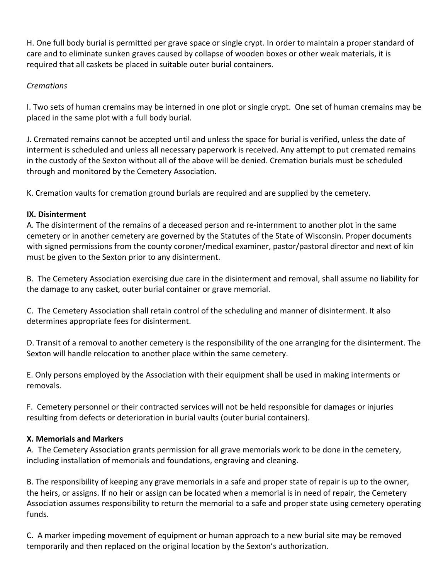H. One full body burial is permitted per grave space or single crypt. In order to maintain a proper standard of care and to eliminate sunken graves caused by collapse of wooden boxes or other weak materials, it is required that all caskets be placed in suitable outer burial containers.

## *Cremations*

I. Two sets of human cremains may be interned in one plot or single crypt. One set of human cremains may be placed in the same plot with a full body burial.

J. Cremated remains cannot be accepted until and unless the space for burial is verified, unless the date of interment is scheduled and unless all necessary paperwork is received. Any attempt to put cremated remains in the custody of the Sexton without all of the above will be denied. Cremation burials must be scheduled through and monitored by the Cemetery Association.

K. Cremation vaults for cremation ground burials are required and are supplied by the cemetery.

### **IX. Disinterment**

A. The disinterment of the remains of a deceased person and re-internment to another plot in the same cemetery or in another cemetery are governed by the Statutes of the State of Wisconsin. Proper documents with signed permissions from the county coroner/medical examiner, pastor/pastoral director and next of kin must be given to the Sexton prior to any disinterment.

B. The Cemetery Association exercising due care in the disinterment and removal, shall assume no liability for the damage to any casket, outer burial container or grave memorial.

C. The Cemetery Association shall retain control of the scheduling and manner of disinterment. It also determines appropriate fees for disinterment.

D. Transit of a removal to another cemetery is the responsibility of the one arranging for the disinterment. The Sexton will handle relocation to another place within the same cemetery.

E. Only persons employed by the Association with their equipment shall be used in making interments or removals.

F. Cemetery personnel or their contracted services will not be held responsible for damages or injuries resulting from defects or deterioration in burial vaults (outer burial containers).

### **X. Memorials and Markers**

A. The Cemetery Association grants permission for all grave memorials work to be done in the cemetery, including installation of memorials and foundations, engraving and cleaning.

B. The responsibility of keeping any grave memorials in a safe and proper state of repair is up to the owner, the heirs, or assigns. If no heir or assign can be located when a memorial is in need of repair, the Cemetery Association assumes responsibility to return the memorial to a safe and proper state using cemetery operating funds.

C. A marker impeding movement of equipment or human approach to a new burial site may be removed temporarily and then replaced on the original location by the Sexton's authorization.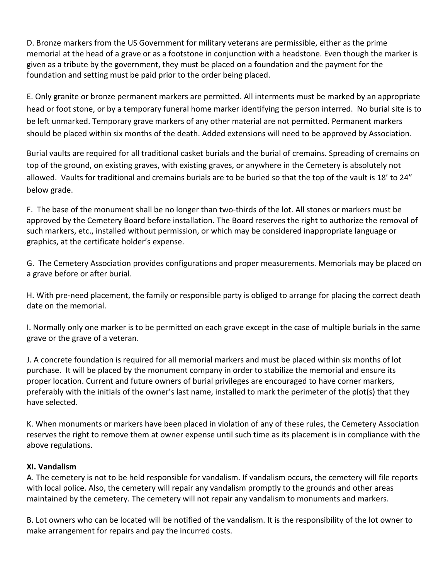D. Bronze markers from the US Government for military veterans are permissible, either as the prime memorial at the head of a grave or as a footstone in conjunction with a headstone. Even though the marker is given as a tribute by the government, they must be placed on a foundation and the payment for the foundation and setting must be paid prior to the order being placed.

E. Only granite or bronze permanent markers are permitted. All interments must be marked by an appropriate head or foot stone, or by a temporary funeral home marker identifying the person interred. No burial site is to be left unmarked. Temporary grave markers of any other material are not permitted. Permanent markers should be placed within six months of the death. Added extensions will need to be approved by Association.

Burial vaults are required for all traditional casket burials and the burial of cremains. Spreading of cremains on top of the ground, on existing graves, with existing graves, or anywhere in the Cemetery is absolutely not allowed. Vaults for traditional and cremains burials are to be buried so that the top of the vault is 18' to 24" below grade.

F. The base of the monument shall be no longer than two-thirds of the lot. All stones or markers must be approved by the Cemetery Board before installation. The Board reserves the right to authorize the removal of such markers, etc., installed without permission, or which may be considered inappropriate language or graphics, at the certificate holder's expense.

G. The Cemetery Association provides configurations and proper measurements. Memorials may be placed on a grave before or after burial.

H. With pre-need placement, the family or responsible party is obliged to arrange for placing the correct death date on the memorial.

I. Normally only one marker is to be permitted on each grave except in the case of multiple burials in the same grave or the grave of a veteran.

J. A concrete foundation is required for all memorial markers and must be placed within six months of lot purchase. It will be placed by the monument company in order to stabilize the memorial and ensure its proper location. Current and future owners of burial privileges are encouraged to have corner markers, preferably with the initials of the owner's last name, installed to mark the perimeter of the plot(s) that they have selected.

K. When monuments or markers have been placed in violation of any of these rules, the Cemetery Association reserves the right to remove them at owner expense until such time as its placement is in compliance with the above regulations.

### **XI. Vandalism**

A. The cemetery is not to be held responsible for vandalism. If vandalism occurs, the cemetery will file reports with local police. Also, the cemetery will repair any vandalism promptly to the grounds and other areas maintained by the cemetery. The cemetery will not repair any vandalism to monuments and markers.

B. Lot owners who can be located will be notified of the vandalism. It is the responsibility of the lot owner to make arrangement for repairs and pay the incurred costs.